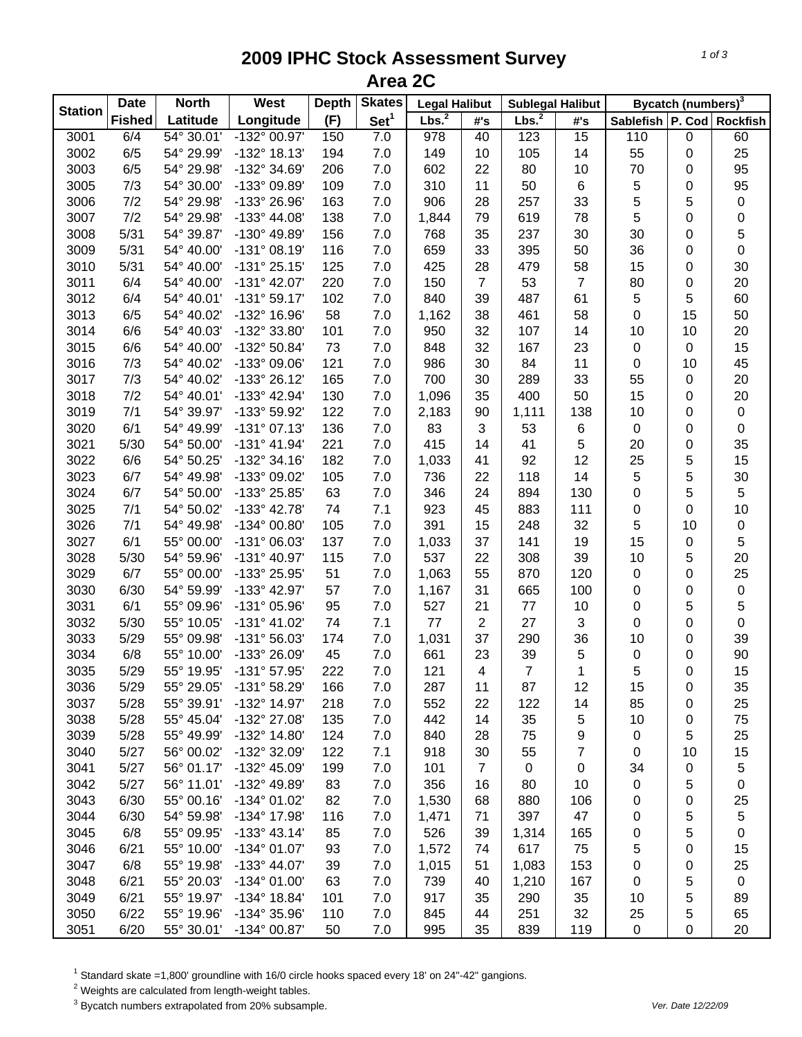## **2009 IPHC Stock Assessment Survey Area 2C**

| <b>Station</b> | <b>Date</b>   | <b>North</b> | West                  | <b>Depth</b> | <b>Skates</b>    | <b>Legal Halibut</b> |                | <b>Sublegal Halibut</b> |                 | Bycatch (numbers) <sup>3</sup> |    |                 |
|----------------|---------------|--------------|-----------------------|--------------|------------------|----------------------|----------------|-------------------------|-----------------|--------------------------------|----|-----------------|
|                | <b>Fished</b> | Latitude     | Longitude             | (F)          | Set <sup>1</sup> | Lbs. <sup>2</sup>    | #'s            | Lbs. <sup>2</sup>       | #'s             | Sablefish   P. Cod             |    | <b>Rockfish</b> |
| 3001           | 6/4           | 54° 30.01'   | $-132^{\circ}$ 00.97' | 150          | 7.0              | $\overline{978}$     | 40             | 123                     | $\overline{15}$ | 110                            | 0  | 60              |
| 3002           | 6/5           | 54° 29.99'   | -132° 18.13'          | 194          | 7.0              | 149                  | 10             | 105                     | 14              | 55                             | 0  | 25              |
| 3003           | 6/5           | 54° 29.98'   | -132° 34.69'          | 206          | 7.0              | 602                  | 22             | 80                      | 10              | 70                             | 0  | 95              |
| 3005           | 7/3           | 54° 30.00'   | -133° 09.89'          | 109          | 7.0              | 310                  | 11             | 50                      | 6               | 5                              | 0  | 95              |
| 3006           | 7/2           | 54° 29.98'   | -133° 26.96'          | 163          | 7.0              | 906                  | 28             | 257                     | 33              | 5                              | 5  | $\pmb{0}$       |
| 3007           | 7/2           | 54° 29.98'   | $-133^{\circ}$ 44.08' | 138          | 7.0              | 1,844                | 79             | 619                     | 78              | 5                              | 0  | 0               |
| 3008           | 5/31          | 54° 39.87'   | -130° 49.89'          | 156          | 7.0              | 768                  | 35             | 237                     | 30              | 30                             | 0  | 5               |
| 3009           | 5/31          | 54° 40.00'   | $-131°08.19'$         | 116          | 7.0              | 659                  | 33             | 395                     | 50              | 36                             | 0  | $\mathsf 0$     |
| 3010           | 5/31          | 54° 40.00'   | $-131°25.15'$         | 125          | 7.0              | 425                  | 28             | 479                     | 58              | 15                             | 0  | 30              |
| 3011           | 6/4           | 54° 40.00'   | $-131^{\circ}$ 42.07' | 220          | 7.0              | 150                  | $\overline{7}$ | 53                      | $\overline{7}$  | 80                             | 0  | 20              |
| 3012           | 6/4           | 54° 40.01'   | $-131°59.17'$         | 102          | 7.0              | 840                  | 39             | 487                     | 61              | 5                              | 5  | 60              |
| 3013           | 6/5           | 54° 40.02'   | -132° 16.96'          | 58           | 7.0              | 1,162                | 38             | 461                     | 58              | 0                              | 15 | 50              |
| 3014           | 6/6           | 54° 40.03'   | -132° 33.80'          | 101          | 7.0              | 950                  | 32             | 107                     | 14              | 10                             | 10 | 20              |
| 3015           | 6/6           | 54° 40.00'   | -132° 50.84'          | 73           | 7.0              | 848                  | 32             | 167                     | 23              | 0                              | 0  | 15              |
| 3016           | 7/3           | 54° 40.02'   | -133° 09.06'          | 121          | 7.0              | 986                  | 30             | 84                      | 11              | 0                              | 10 | 45              |
| 3017           | 7/3           | 54° 40.02'   | -133° 26.12'          | 165          | 7.0              | 700                  | 30             | 289                     | 33              | 55                             | 0  | 20              |
| 3018           | 7/2           | 54° 40.01'   | -133° 42.94'          | 130          | 7.0              | 1,096                | 35             | 400                     | 50              | 15                             | 0  | 20              |
| 3019           | 7/1           | 54° 39.97'   | -133° 59.92'          | 122          | 7.0              | 2,183                | 90             | 1,111                   | 138             | 10                             | 0  | $\pmb{0}$       |
| 3020           | 6/1           | 54° 49.99'   | $-131°07.13'$         | 136          | 7.0              | 83                   | 3              | 53                      | 6               | 0                              | 0  | $\pmb{0}$       |
| 3021           | 5/30          | 54° 50.00'   | $-131^{\circ}$ 41.94' | 221          | 7.0              | 415                  | 14             | 41                      | 5               | 20                             | 0  | 35              |
| 3022           | 6/6           | 54° 50.25'   | $-132^{\circ}$ 34.16' | 182          | 7.0              | 1,033                | 41             | 92                      | 12              | 25                             | 5  | 15              |
| 3023           | 6/7           | 54° 49.98'   | -133° 09.02'          | 105          | 7.0              | 736                  | 22             | 118                     | 14              | 5                              | 5  | 30              |
| 3024           | 6/7           | 54° 50.00'   | -133° 25.85'          | 63           | 7.0              | 346                  | 24             | 894                     | 130             | $\mathsf 0$                    | 5  | $\sqrt{5}$      |
| 3025           | 7/1           | 54° 50.02'   | -133° 42.78'          | 74           | 7.1              | 923                  | 45             | 883                     | 111             | $\mathsf 0$                    | 0  | 10              |
| 3026           | 7/1           | 54° 49.98'   | -134° 00.80'          | 105          | 7.0              | 391                  | 15             | 248                     | 32              | 5                              | 10 | $\pmb{0}$       |
| 3027           | 6/1           | 55° 00.00'   | -131° 06.03'          | 137          | 7.0              | 1,033                | 37             | 141                     | 19              | 15                             | 0  | 5               |
| 3028           | 5/30          | 54° 59.96'   | $-131^{\circ}$ 40.97' | 115          | 7.0              | 537                  | 22             | 308                     | 39              | 10                             | 5  | 20              |
| 3029           | 6/7           | 55° 00.00'   | -133° 25.95'          | 51           | 7.0              | 1,063                | 55             | 870                     | 120             | 0                              | 0  | 25              |
| 3030           | 6/30          | 54° 59.99'   | -133° 42.97'          | 57           | 7.0              | 1,167                | 31             | 665                     | 100             | 0                              | 0  | $\pmb{0}$       |
| 3031           | 6/1           | 55° 09.96'   | -131° 05.96'          | 95           | 7.0              | 527                  | 21             | 77                      | 10              | 0                              | 5  | 5               |
| 3032           | 5/30          | 55° 10.05'   | $-131^{\circ}$ 41.02' | 74           | 7.1              | 77                   | $\overline{2}$ | 27                      | 3               | 0                              | 0  | $\pmb{0}$       |
| 3033           | 5/29          | 55° 09.98'   | $-131^{\circ} 56.03'$ | 174          | 7.0              | 1,031                | 37             | 290                     | 36              | 10                             | 0  | 39              |
| 3034           | 6/8           | 55° 10.00'   | -133° 26.09'          | 45           | 7.0              | 661                  | 23             | 39                      | 5               | 0                              | 0  | 90              |
| 3035           | 5/29          | 55° 19.95'   | -131° 57.95'          | 222          | 7.0              | 121                  | 4              | $\overline{7}$          | 1               | 5                              | 0  | 15              |
| 3036           | 5/29          | 55° 29.05'   | $-131^{\circ}58.29'$  | 166          | 7.0              | 287                  | 11             | 87                      | 12              | 15                             | 0  | 35              |
| 3037           | 5/28          | 55° 39.91'   | -132° 14.97'          | 218          | 7.0              | 552                  | 22             | 122                     | 14              | 85                             | 0  | 25              |
| 3038           | 5/28          | 55° 45.04'   | -132° 27.08'          | 135          | 7.0              | 442                  | 14             | 35                      | 5               | 10                             | 0  | 75              |
| 3039           | 5/28          | 55° 49.99'   | -132° 14.80'          | 124          | 7.0              | 840                  | 28             | 75                      | 9               | 0                              | 5  | 25              |
| 3040           | 5/27          | 56° 00.02'   | -132° 32.09'          | 122          | 7.1              | 918                  | 30             | 55                      | $\overline{7}$  | 0                              | 10 | 15              |
| 3041           | 5/27          | 56° 01.17'   | -132° 45.09'          | 199          | 7.0              | 101                  | $\overline{7}$ | $\pmb{0}$               | 0               | 34                             | 0  | 5               |
| 3042           | 5/27          | 56° 11.01'   | -132° 49.89'          | 83           | 7.0              | 356                  | 16             | 80                      | 10              | 0                              | 5  | $\pmb{0}$       |
| 3043           | 6/30          | 55° 00.16'   | -134° 01.02'          | 82           | 7.0              | 1,530                | 68             | 880                     | 106             | 0                              |    | 25              |
| 3044           | 6/30          | 54° 59.98'   | -134° 17.98'          | 116          | 7.0              | 1,471                | 71             | 397                     | 47              |                                | 0  |                 |
|                | 6/8           | 55° 09.95'   | $-133^{\circ}$ 43.14' |              |                  |                      |                |                         |                 | 0                              | 5  | $\,$ 5 $\,$     |
| 3045           |               |              |                       | 85           | 7.0              | 526                  | 39             | 1,314                   | 165             | 0                              | 5  | 0               |
| 3046           | 6/21          | 55° 10.00'   | $-134^{\circ}$ 01.07' | 93           | 7.0              | 1,572                | 74             | 617                     | 75              | 5                              | 0  | 15              |
| 3047           | 6/8           | 55° 19.98'   | $-133^{\circ}$ 44.07' | 39           | 7.0              | 1,015                | 51             | 1,083                   | 153             | 0                              | 0  | 25              |
| 3048           | 6/21          | 55° 20.03'   | $-134^{\circ}$ 01.00' | 63           | 7.0              | 739                  | 40             | 1,210                   | 167             | 0                              | 5  | $\pmb{0}$       |
| 3049           | 6/21          | 55° 19.97'   | -134° 18.84'          | 101          | 7.0              | 917                  | 35             | 290                     | 35              | 10                             | 5  | 89              |
| 3050           | 6/22          | 55° 19.96'   | -134° 35.96'          | 110          | 7.0              | 845                  | 44             | 251                     | 32              | 25                             | 5  | 65              |
| 3051           | 6/20          | 55° 30.01'   | -134° 00.87'          | 50           | 7.0              | 995                  | 35             | 839                     | 119             | $\pmb{0}$                      | 0  | 20              |

 $^1$  Standard skate =1,800' groundline with 16/0 circle hooks spaced every 18' on 24"-42" gangions.<br><sup>2</sup> Weights are calculated from length-weight tables.

3 Bycatch numbers extrapolated from 20% subsample. *Ver. Date 12/22/09*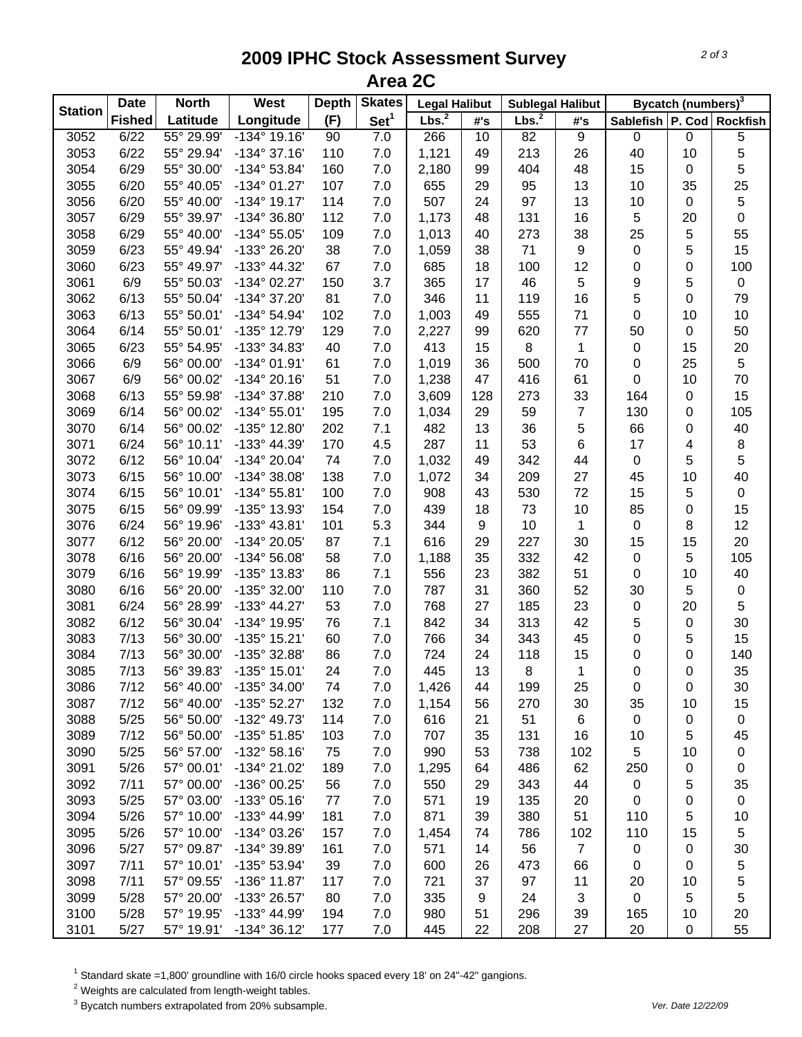## **2009 IPHC Stock Assessment Survey Area 2C**

|                | <b>Date</b>   | <b>North</b> | West                  | <b>Depth</b> | <b>Skates</b>    | <b>Legal Halibut</b> |     | <b>Sublegal Halibut</b> |                  | Bycatch (numbers) <sup>3</sup> |           |                           |  |
|----------------|---------------|--------------|-----------------------|--------------|------------------|----------------------|-----|-------------------------|------------------|--------------------------------|-----------|---------------------------|--|
| <b>Station</b> | <b>Fished</b> | Latitude     | Longitude             | (F)          | Set <sup>1</sup> | Lbs. <sup>2</sup>    | #'s | Lbs. <sup>2</sup>       | #'s              |                                |           | Sablefish P. Cod Rockfish |  |
| 3052           | 6/22          | 55° 29.99'   | $-134^{\circ}$ 19.16' | 90           | 7.0              | 266                  | 10  | 82                      | $\overline{9}$   | $\mathsf 0$                    | $\pmb{0}$ | $\overline{5}$            |  |
| 3053           | 6/22          | 55° 29.94'   | $-134^{\circ}37.16'$  | 110          | 7.0              | 1,121                | 49  | 213                     | 26               | 40                             | 10        | 5                         |  |
| 3054           | 6/29          | 55° 30.00'   | $-134^{\circ} 53.84'$ | 160          | 7.0              | 2,180                | 99  | 404                     | 48               | 15                             | 0         | 5                         |  |
| 3055           | 6/20          | 55° 40.05'   | $-134^{\circ}$ 01.27' | 107          | 7.0              | 655                  | 29  | 95                      | 13               | 10                             | 35        | 25                        |  |
| 3056           | 6/20          | 55° 40.00'   | $-134^{\circ}$ 19.17' | 114          | 7.0              | 507                  | 24  | 97                      | 13               | 10                             | $\pmb{0}$ | $\sqrt{5}$                |  |
| 3057           | 6/29          | 55° 39.97'   | -134° 36.80'          | 112          | 7.0              | 1,173                | 48  | 131                     | 16               | 5                              | 20        | $\pmb{0}$                 |  |
| 3058           | 6/29          | 55° 40.00'   | $-134^{\circ} 55.05'$ | 109          | 7.0              | 1,013                | 40  | 273                     | 38               | 25                             | 5         | 55                        |  |
| 3059           | 6/23          | 55° 49.94'   | -133° 26.20'          | 38           | 7.0              | 1,059                | 38  | 71                      | $\boldsymbol{9}$ | $\pmb{0}$                      | 5         | 15                        |  |
| 3060           | 6/23          | 55° 49.97'   | -133° 44.32'          | 67           | 7.0              | 685                  | 18  | 100                     | 12               | $\pmb{0}$                      | 0         | 100                       |  |
| 3061           | 6/9           | 55° 50.03'   | $-134^{\circ}$ 02.27' | 150          | 3.7              | 365                  | 17  | 46                      | 5                | 9                              | 5         | $\pmb{0}$                 |  |
| 3062           | 6/13          | 55° 50.04'   | -134° 37.20'          | 81           | 7.0              | 346                  | 11  | 119                     | 16               | 5                              | 0         | 79                        |  |
| 3063           | 6/13          | 55° 50.01'   | $-134^{\circ} 54.94'$ | 102          | 7.0              | 1,003                | 49  | 555                     | 71               | 0                              | 10        | $10$                      |  |
| 3064           | 6/14          | 55° 50.01'   | -135° 12.79'          | 129          | 7.0              | 2,227                | 99  | 620                     | 77               | 50                             | $\pmb{0}$ | 50                        |  |
| 3065           | 6/23          | 55° 54.95'   | -133° 34.83'          | 40           | 7.0              | 413                  | 15  | 8                       | 1                | $\pmb{0}$                      | 15        | 20                        |  |
| 3066           | 6/9           | 56° 00.00'   | $-134^{\circ}$ 01.91' | 61           | 7.0              | 1,019                | 36  | 500                     | 70               | 0                              | 25        | 5                         |  |
| 3067           | 6/9           | 56° 00.02'   | $-134^{\circ} 20.16'$ | 51           | 7.0              | 1,238                | 47  | 416                     | 61               | 0                              | 10        | 70                        |  |
| 3068           | 6/13          | 55° 59.98'   | -134° 37.88'          | 210          | 7.0              | 3,609                | 128 | 273                     | 33               | 164                            | 0         | 15                        |  |
| 3069           | 6/14          | 56° 00.02'   | $-134^{\circ} 55.01'$ | 195          | 7.0              | 1,034                | 29  | 59                      | $\overline{7}$   | 130                            | 0         | 105                       |  |
| 3070           | 6/14          | 56° 00.02'   | -135° 12.80'          | 202          | 7.1              | 482                  | 13  | 36                      | 5                | 66                             | 0         | 40                        |  |
| 3071           | 6/24          | 56° 10.11'   | -133° 44.39'          | 170          | 4.5              | 287                  | 11  | 53                      | $\,6$            | 17                             | 4         | 8                         |  |
| 3072           | 6/12          | 56° 10.04'   | -134° 20.04'          | 74           | 7.0              | 1,032                | 49  | 342                     | 44               | $\mathbf 0$                    | 5         | $\sqrt{5}$                |  |
| 3073           | 6/15          | 56° 10.00'   | $-134^{\circ}38.08'$  | 138          | 7.0              | 1,072                | 34  | 209                     | 27               | 45                             | 10        | 40                        |  |
| 3074           | 6/15          | 56° 10.01'   | $-134^{\circ}55.81'$  | 100          | 7.0              | 908                  | 43  | 530                     | 72               | 15                             | 5         | $\pmb{0}$                 |  |
| 3075           | 6/15          | 56° 09.99'   | -135° 13.93'          | 154          | 7.0              | 439                  | 18  | 73                      | 10               | 85                             | 0         | 15                        |  |
| 3076           | 6/24          | 56° 19.96'   | -133° 43.81'          | 101          | 5.3              | 344                  | 9   | 10                      | $\mathbf{1}$     | $\mathbf 0$                    | 8         | 12                        |  |
| 3077           | 6/12          | 56° 20.00'   | -134° 20.05'          | 87           | 7.1              | 616                  | 29  | 227                     | 30               | 15                             | 15        | 20                        |  |
| 3078           | 6/16          | 56° 20.00'   | $-134^{\circ} 56.08'$ | 58           | 7.0              | 1,188                | 35  | 332                     | 42               | $\pmb{0}$                      | 5         | 105                       |  |
| 3079           | 6/16          | 56° 19.99'   | -135° 13.83'          | 86           | 7.1              | 556                  | 23  | 382                     | 51               | $\pmb{0}$                      | 10        | 40                        |  |
| 3080           | 6/16          | 56° 20.00'   | -135° 32.00'          | 110          | 7.0              | 787                  | 31  | 360                     | 52               | 30                             | 5         | $\pmb{0}$                 |  |
| 3081           | 6/24          | 56° 28.99'   | $-133^{\circ}$ 44.27' | 53           | 7.0              | 768                  | 27  | 185                     | 23               | $\pmb{0}$                      | 20        | 5                         |  |
| 3082           | 6/12          | 56° 30.04'   | -134° 19.95'          | 76           | 7.1              | 842                  | 34  | 313                     | 42               | 5                              | $\pmb{0}$ | 30                        |  |
| 3083           | 7/13          | 56° 30.00'   | $-135^{\circ}$ 15.21' | 60           | 7.0              | 766                  | 34  | 343                     | 45               | 0                              | 5         | 15                        |  |
| 3084           | 7/13          | 56° 30.00'   | -135° 32.88'          | 86           | 7.0              | 724                  | 24  | 118                     | 15               | 0                              | 0         | 140                       |  |
| 3085           | 7/13          | 56° 39.83'   | -135° 15.01'          | 24           | 7.0              | 445                  | 13  | 8                       | 1                | 0                              | 0         | 35                        |  |
| 3086           | 7/12          | 56° 40.00'   | $-135^{\circ}$ 34.00  | 74           | 7.0              | 1,426                | 44  | 199                     | 25               | 0                              | 0         | 30                        |  |
| 3087           | 7/12          | 56° 40.00'   | -135° 52.27'          | 132          | 7.0              | 1,154                | 56  | 270                     | 30               | 35                             | 10        | 15                        |  |
| 3088           | 5/25          | 56° 50.00'   | -132° 49.73'          | 114          | 7.0              | 616                  | 21  | 51                      | 6                | $\mathbf 0$                    | 0         | $\mathbf 0$               |  |
| 3089           | 7/12          | 56° 50.00'   | -135° 51.85'          | 103          | 7.0              | 707                  | 35  | 131                     | 16               | 10                             | 5         | 45                        |  |
| 3090           | 5/25          | 56° 57.00'   | $-132^{\circ}58.16'$  | 75           | 7.0              | 990                  | 53  | 738                     | 102              | 5                              | 10        | 0                         |  |
| 3091           | 5/26          | 57° 00.01'   | -134° 21.02'          | 189          | 7.0              | 1,295                | 64  | 486                     | 62               | 250                            | 0         | $\pmb{0}$                 |  |
| 3092           | 7/11          | 57° 00.00'   | -136° 00.25'          | 56           | 7.0              | 550                  | 29  | 343                     | 44               | 0                              | 5         | 35                        |  |
| 3093           | 5/25          | 57° 03.00'   | -133° 05.16'          | 77           | 7.0              | 571                  | 19  | 135                     | 20               | 0                              | 0         | 0                         |  |
| 3094           | 5/26          | 57° 10.00'   | -133° 44.99'          | 181          | 7.0              | 871                  | 39  | 380                     | 51               | 110                            | 5         | 10                        |  |
| 3095           | 5/26          | 57° 10.00'   | -134° 03.26'          | 157          | 7.0              | 1,454                | 74  | 786                     | 102              | 110                            | 15        | 5                         |  |
| 3096           | 5/27          | 57° 09.87'   | -134° 39.89'          | 161          | 7.0              | 571                  | 14  | 56                      | $\overline{7}$   | 0                              | 0         | 30                        |  |
| 3097           | 7/11          | 57° 10.01'   | -135° 53.94'          | 39           | 7.0              | 600                  | 26  | 473                     | 66               | 0                              | 0         | 5                         |  |
| 3098           | 7/11          | 57° 09.55'   | -136° 11.87'          | 117          | 7.0              | 721                  | 37  | 97                      | 11               | 20                             | 10        | 5                         |  |
| 3099           | 5/28          | 57° 20.00'   | -133° 26.57'          | 80           | 7.0              | 335                  | 9   | 24                      | 3                | $\mathbf 0$                    | 5         | 5                         |  |
| 3100           | 5/28          | 57° 19.95'   | -133° 44.99'          | 194          | 7.0              | 980                  | 51  | 296                     | 39               | 165                            | 10        | 20                        |  |
| 3101           | 5/27          | 57° 19.91'   | -134° 36.12'          | 177          | $7.0$            | 445                  | 22  | 208                     | 27               | 20                             | $\pmb{0}$ | 55                        |  |

 $^1$  Standard skate =1,800' groundline with 16/0 circle hooks spaced every 18' on 24"-42" gangions.<br><sup>2</sup> Weights are calculated from length-weight tables.

3 Bycatch numbers extrapolated from 20% subsample. *Ver. Date 12/22/09*